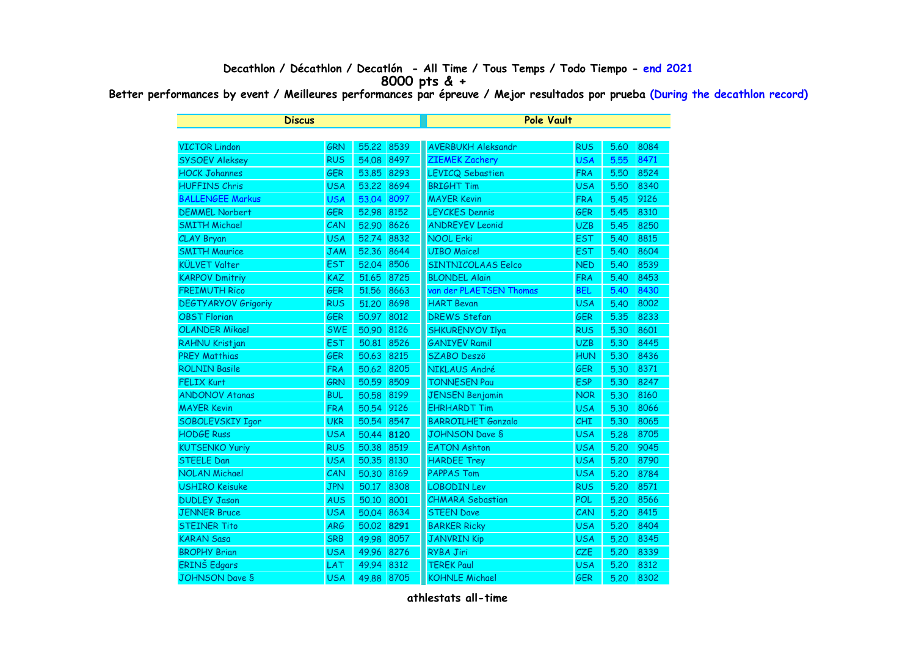## **Decathlon / Décathlon / Decatlón - All Time / Tous Temps / Todo Tiempo - end 2021 8000 pts & +**

**Better performances by event / Meilleures performances par épreuve / Mejor resultados por prueba (During the decathlon record)**

| <b>Discus</b>              |            |            | <b>Pole Vault</b> |                           |            |      |      |  |
|----------------------------|------------|------------|-------------------|---------------------------|------------|------|------|--|
|                            |            |            |                   |                           |            |      |      |  |
| <b>VICTOR Lindon</b>       | <b>GRN</b> | 55,22      | 8539              | <b>AVERBUKH Aleksandr</b> | <b>RUS</b> | 5.60 | 8084 |  |
| <b>SYSOEV Aleksey</b>      | <b>RUS</b> | 54.08      | 8497              | <b>ZIEMEK Zachery</b>     | <b>USA</b> | 5.55 | 8471 |  |
| <b>HOCK Johannes</b>       | <b>GER</b> | 53.85      | 8293              | <b>LEVICQ Sebastien</b>   | <b>FRA</b> | 5.50 | 8524 |  |
| <b>HUFFINS Chris</b>       | <b>USA</b> | 53.22      | 8694              | <b>BRIGHT Tim</b>         | <b>USA</b> | 5.50 | 8340 |  |
| <b>BALLENGEE Markus</b>    | <b>USA</b> | 53.04      | 8097              | <b>MAYER Kevin</b>        | <b>FRA</b> | 5.45 | 9126 |  |
| <b>DEMMEL Norbert</b>      | <b>GER</b> | 52.98      | 8152              | <b>LEYCKES Dennis</b>     | <b>GER</b> | 5.45 | 8310 |  |
| <b>SMITH Michael</b>       | CAN        | 52.90      | 8626              | <b>ANDREYEV Leonid</b>    | <b>UZB</b> | 5.45 | 8250 |  |
| CLAY Bryan                 | <b>USA</b> | 52.74      | 8832              | <b>NOOL Erki</b>          | <b>EST</b> | 5.40 | 8815 |  |
| <b>SMITH Maurice</b>       | <b>JAM</b> | 52.36      | 8644              | <b>UIBO Maicel</b>        | <b>EST</b> | 5.40 | 8604 |  |
| <b>KÜLVET Valter</b>       | <b>EST</b> | 52.04      | 8506              | SINTNICOLAAS Eelco        | <b>NED</b> | 5.40 | 8539 |  |
| <b>KARPOV Dmitriy</b>      | KAZ        | 51.65      | 8725              | <b>BLONDEL Alain</b>      | <b>FRA</b> | 5.40 | 8453 |  |
| <b>FREIMUTH Rico</b>       | <b>GER</b> | 51.56      | 8663              | van der PLAETSEN Thomas   | <b>BEL</b> | 5.40 | 8430 |  |
| <b>DEGTYARYOV Grigoriy</b> | <b>RUS</b> | 51.20      | 8698              | <b>HART Bevan</b>         | <b>USA</b> | 5.40 | 8002 |  |
| <b>OBST Florian</b>        | <b>GER</b> | 50.97      | 8012              | <b>DREWS Stefan</b>       | <b>GER</b> | 5.35 | 8233 |  |
| <b>OLANDER Mikael</b>      | <b>SWE</b> | 50.90      | 8126              | <b>SHKURENYOV Ilya</b>    | <b>RUS</b> | 5.30 | 8601 |  |
| RAHNU Kristjan             | <b>EST</b> | 50.81      | 8526              | <b>GANIYEV Ramil</b>      | <b>UZB</b> | 5.30 | 8445 |  |
| <b>PREY Matthias</b>       | <b>GER</b> | 50.63      | 8215              | <b>SZABO Deszö</b>        | <b>HUN</b> | 5.30 | 8436 |  |
| <b>ROLNIN Basile</b>       | <b>FRA</b> | 50.62 8205 |                   | NIKLAUS André             | <b>GER</b> | 5.30 | 8371 |  |
| <b>FELIX Kurt</b>          | <b>GRN</b> | 50.59      | 8509              | <b>TONNESEN Pau</b>       | <b>ESP</b> | 5.30 | 8247 |  |
| <b>ANDONOV Atanas</b>      | <b>BUL</b> | 50.58      | 8199              | <b>JENSEN Benjamin</b>    | <b>NOR</b> | 5.30 | 8160 |  |
| <b>MAYER Kevin</b>         | <b>FRA</b> | 50.54      | 9126              | <b>EHRHARDT Tim</b>       | <b>USA</b> | 5.30 | 8066 |  |
| SOBOLEVSKIY Igor           | <b>UKR</b> | 50.54      | 8547              | <b>BARROILHET Gonzalo</b> | <b>CHI</b> | 5.30 | 8065 |  |
| <b>HODGE Russ</b>          | <b>USA</b> | 50.44      | 8120              | <b>JOHNSON Dave S</b>     | <b>USA</b> | 5.28 | 8705 |  |
| <b>KUTSENKO Yuriy</b>      | <b>RUS</b> | 50.38      | 8519              | <b>EATON Ashton</b>       | <b>USA</b> | 5.20 | 9045 |  |
| <b>STEELE Dan</b>          | <b>USA</b> | 50.35      | 8130              | <b>HARDEE Trey</b>        | <b>USA</b> | 5.20 | 8790 |  |
| <b>NOLAN Michael</b>       | CAN        | 50.30      | 8169              | <b>PAPPAS Tom</b>         | <b>USA</b> | 5.20 | 8784 |  |
| <b>USHIRO Keisuke</b>      | <b>JPN</b> | 50.17      | 8308              | <b>LOBODIN Lev</b>        | <b>RUS</b> | 5.20 | 8571 |  |
| <b>DUDLEY Jason</b>        | <b>AUS</b> | 50.10      | 8001              | <b>CHMARA Sebastian</b>   | <b>POL</b> | 5.20 | 8566 |  |
| <b>JENNER Bruce</b>        | <b>USA</b> | 50.04      | 8634              | <b>STEEN Dave</b>         | CAN        | 5.20 | 8415 |  |
| <b>STEINER Tito</b>        | <b>ARG</b> | 50.02 8291 |                   | <b>BARKER Ricky</b>       | <b>USA</b> | 5.20 | 8404 |  |
| <b>KARAN Sasa</b>          | <b>SRB</b> | 49.98      | 8057              | <b>JANVRIN Kip</b>        | <b>USA</b> | 5.20 | 8345 |  |
| <b>BROPHY Brian</b>        | <b>USA</b> | 49.96      | 8276              | <b>RYBA Jiri</b>          | CZE        | 5.20 | 8339 |  |
| ERINŠ Edgars               | LAT        | 49.94      | 8312              | <b>TEREK Paul</b>         | <b>USA</b> | 5.20 | 8312 |  |
| <b>JOHNSON Dave S</b>      | <b>USA</b> | 49.88      | 8705              | <b>KOHNLE Michael</b>     | <b>GER</b> | 5.20 | 8302 |  |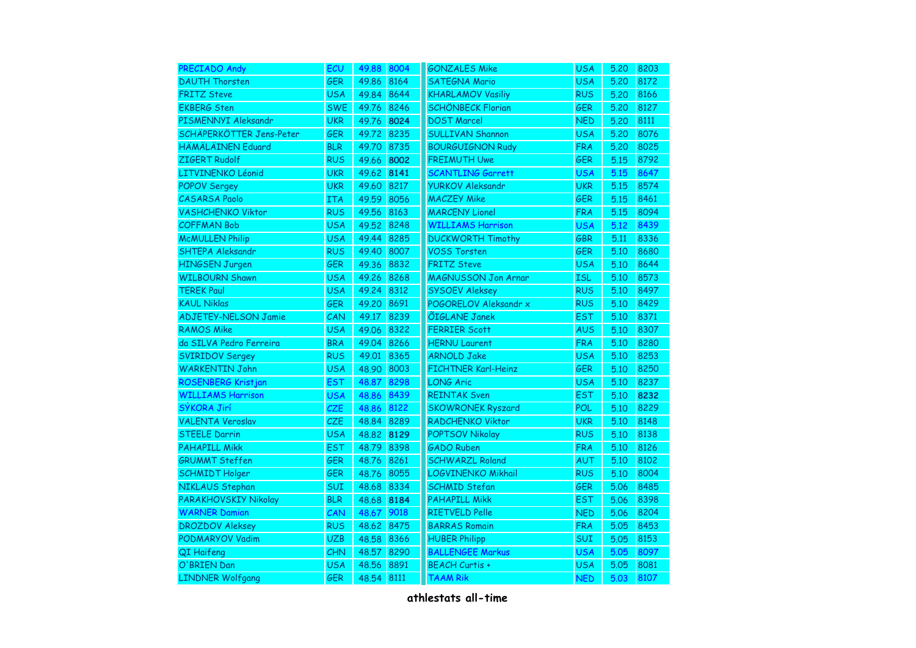| PRECIADO Andy               | ECU        | 49.88 | 8004 | <b>GONZALES Mike</b>       | <b>USA</b> | 5.20 | 8203 |
|-----------------------------|------------|-------|------|----------------------------|------------|------|------|
| <b>DAUTH Thorsten</b>       | <b>GER</b> | 49.86 | 8164 | <b>SATEGNA Mario</b>       | <b>USA</b> | 5.20 | 8172 |
| <b>FRITZ Steve</b>          | <b>USA</b> | 49.84 | 8644 | <b>KHARLAMOV Vasiliy</b>   | <b>RUS</b> | 5.20 | 8166 |
| <b>EKBERG Sten</b>          | <b>SWE</b> | 49.76 | 8246 | <b>SCHÖNBECK Florian</b>   | <b>GER</b> | 5.20 | 8127 |
| PISMENNYI Aleksandr         | <b>UKR</b> | 49.76 | 8024 | <b>DOST Marcel</b>         | <b>NED</b> | 5.20 | 8111 |
| SCHÄPERKÖTTER Jens-Peter    | GER        | 49.72 | 8235 | <b>SULLIVAN Shannon</b>    | <b>USA</b> | 5.20 | 8076 |
| HÄMÄLÄINEN Eduard           | <b>BLR</b> | 49.70 | 8735 | <b>BOURGUIGNON Rudy</b>    | <b>FRA</b> | 5.20 | 8025 |
| ZIGERT Rudolf               | <b>RUS</b> | 49.66 | 8002 | <b>FREIMUTH Uwe</b>        | <b>GER</b> | 5.15 | 8792 |
| LITVINENKO Léonid           | <b>UKR</b> | 49.62 | 8141 | <b>SCANTLING Garrett</b>   | <b>USA</b> | 5.15 | 8647 |
| <b>POPOV Sergey</b>         | <b>UKR</b> | 49.60 | 8217 | <b>YURKOV Aleksandr</b>    | <b>UKR</b> | 5.15 | 8574 |
| <b>CASARSA Paolo</b>        | <b>ITA</b> | 49.59 | 8056 | <b>MACZEY Mike</b>         | <b>GER</b> | 5.15 | 8461 |
| <b>VASHCHENKO Viktor</b>    | <b>RUS</b> | 49.56 | 8163 | <b>MARCENY Lionel</b>      | <b>FRA</b> | 5.15 | 8094 |
| <b>COFFMAN Bob</b>          | <b>USA</b> | 49.52 | 8248 | <b>WILLIAMS Harrison</b>   | <b>USA</b> | 5.12 | 8439 |
| <b>McMULLEN Philip</b>      | <b>USA</b> | 49.44 | 8285 | <b>DUCKWORTH Timothy</b>   | <b>GBR</b> | 5.11 | 8336 |
| SHTEPA Aleksandr            | <b>RUS</b> | 49.40 | 8007 | <b>VOSS Torsten</b>        | <b>GER</b> | 5.10 | 8680 |
| <b>HINGSEN Jurgen</b>       | <b>GER</b> | 49.36 | 8832 | <b>FRITZ Steve</b>         | <b>USA</b> | 5.10 | 8644 |
| <b>WILBOURN Shawn</b>       | <b>USA</b> | 49.26 | 8268 | <b>MAGNUSSON Jon Arnar</b> | <b>ISL</b> | 5.10 | 8573 |
| <b>TEREK Paul</b>           | <b>USA</b> | 49.24 | 8312 | <b>SYSOEV Aleksey</b>      | <b>RUS</b> | 5.10 | 8497 |
| <b>KAUL Niklas</b>          | <b>GER</b> | 49.20 | 8691 | POGORELOV Aleksandr x      | <b>RUS</b> | 5.10 | 8429 |
| <b>ADJETEY-NELSON Jamie</b> | CAN        | 49.17 | 8239 | ÕIGLANE Janek              | <b>EST</b> | 5.10 | 8371 |
| <b>RAMOS Mike</b>           | <b>USA</b> | 49.06 | 8322 | <b>FERRIER Scott</b>       | <b>AUS</b> | 5.10 | 8307 |
| da SILVA Pedro Ferreira     | <b>BRA</b> | 49.04 | 8266 | <b>HERNU Laurent</b>       | <b>FRA</b> | 5.10 | 8280 |
| <b>SVIRIDOV Sergey</b>      | <b>RUS</b> | 49.01 | 8365 | <b>ARNOLD Jake</b>         | <b>USA</b> | 5.10 | 8253 |
| <b>WARKENTIN John</b>       | <b>USA</b> | 48.90 | 8003 | <b>FICHTNER Karl-Heinz</b> | <b>GER</b> | 5.10 | 8250 |
| ROSENBERG Kristjan          | <b>EST</b> | 48.87 | 8298 | <b>LONG Aric</b>           | <b>USA</b> | 5.10 | 8237 |
| <b>WILLIAMS Harrison</b>    | <b>USA</b> | 48.86 | 8439 | <b>REINTAK Sven</b>        | <b>EST</b> | 5.10 | 8232 |
| SÝKORA Jirí                 | <b>CZE</b> | 48.86 | 8122 | <b>SKOWRONEK Ryszard</b>   | <b>POL</b> | 5.10 | 8229 |
| <b>VALENTA Veroslav</b>     | CZE        | 48.84 | 8289 | <b>RADCHENKO Viktor</b>    | <b>UKR</b> | 5.10 | 8148 |
| <b>STEELE Darrin</b>        | <b>USA</b> | 48.82 | 8129 | <b>POPTSOV Nikolay</b>     | <b>RUS</b> | 5.10 | 8138 |
| <b>PAHAPILL Mikk</b>        | <b>EST</b> | 48.79 | 8398 | <b>GADO Ruben</b>          | <b>FRA</b> | 5.10 | 8126 |
| <b>GRUMMT Steffen</b>       | GER        | 48.76 | 8261 | <b>SCHWARZL Roland</b>     | <b>AUT</b> | 5.10 | 8102 |
| <b>SCHMIDT Holger</b>       | <b>GER</b> | 48.76 | 8055 | <b>LOGVINENKO Mikhail</b>  | <b>RUS</b> | 5.10 | 8004 |
| NIKLAUS Stephan             | SUI        | 48.68 | 8334 | <b>SCHMID Stefan</b>       | <b>GER</b> | 5.06 | 8485 |
| PARAKHOVSKIY Nikolay        | <b>BLR</b> | 48.68 | 8184 | <b>PAHAPILL Mikk</b>       | <b>EST</b> | 5.06 | 8398 |
| <b>WARNER Damian</b>        | CAN        | 48.67 | 9018 | RIETVELD Pelle             | <b>NED</b> | 5.06 | 8204 |
| <b>DROZDOV Aleksey</b>      | <b>RUS</b> | 48.62 | 8475 | <b>BARRAS Romain</b>       | <b>FRA</b> | 5.05 | 8453 |
| <b>PODMARYOV Vadim</b>      | <b>UZB</b> | 48.58 | 8366 | <b>HUBER Philipp</b>       | SUI        | 5.05 | 8153 |
| QI Haifeng                  | CHN        | 48.57 | 8290 | <b>BALLENGEE Markus</b>    | <b>USA</b> | 5.05 | 8097 |
| O'BRIEN Dan                 | <b>USA</b> | 48.56 | 8891 | <b>BEACH Curtis +</b>      | <b>USA</b> | 5.05 | 8081 |
| <b>LINDNER Wolfgang</b>     | <b>GER</b> | 48.54 | 8111 | <b>TAAM Rik</b>            | <b>NED</b> | 5.03 | 8107 |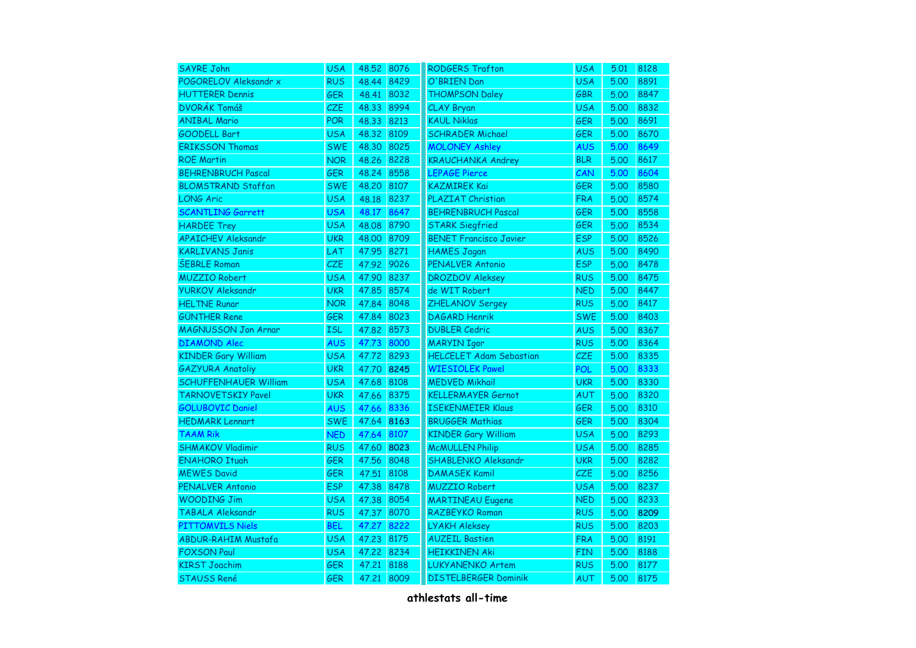| <b>SAYRE John</b>            | <b>USA</b> | 48.52 8076 |      | <b>RODGERS Trafton</b>         | <b>USA</b> | 5.01 | 8128 |
|------------------------------|------------|------------|------|--------------------------------|------------|------|------|
| POGORELOV Aleksandr x        | <b>RUS</b> | 48.44      | 8429 | O'BRIEN Dan                    | <b>USA</b> | 5.00 | 8891 |
| <b>HUTTERER Dennis</b>       | GER        | 48.41      | 8032 | <b>THOMPSON Daley</b>          | <b>GBR</b> | 5.00 | 8847 |
| DVORÁK Tomáš                 | <b>CZE</b> | 48.33      | 8994 | CLAY Bryan                     | <b>USA</b> | 5.00 | 8832 |
| <b>ANIBAL Mario</b>          | <b>POR</b> | 48.33      | 8213 | <b>KAUL Niklas</b>             | <b>GER</b> | 5.00 | 8691 |
| <b>GOODELL Bart</b>          | <b>USA</b> | 48.32      | 8109 | <b>SCHRADER Michael</b>        | <b>GER</b> | 5.00 | 8670 |
| <b>ERIKSSON Thomas</b>       | <b>SWE</b> | 48.30      | 8025 | <b>MOLONEY Ashley</b>          | <b>AUS</b> | 5.00 | 8649 |
| <b>ROE Martin</b>            | <b>NOR</b> | 48.26      | 8228 | <b>KRAUCHANKA Andrey</b>       | <b>BLR</b> | 5.00 | 8617 |
| <b>BEHRENBRUCH Pascal</b>    | <b>GER</b> | 48.24      | 8558 | <b>LEPAGE Pierce</b>           | CAN        | 5.00 | 8604 |
| <b>BLOMSTRAND Staffan</b>    | <b>SWE</b> | 48.20      | 8107 | <b>KAZMIREK Kai</b>            | <b>GER</b> | 5.00 | 8580 |
| <b>LONG Aric</b>             | <b>USA</b> | 48.18      | 8237 | PLAZIAT Christian              | <b>FRA</b> | 5.00 | 8574 |
| <b>SCANTLING Garrett</b>     | <b>USA</b> | 48.17      | 8647 | <b>BEHRENBRUCH Pascal</b>      | <b>GER</b> | 5.00 | 8558 |
| <b>HARDEE Trey</b>           | <b>USA</b> | 48,08      | 8790 | <b>STARK Siegfried</b>         | <b>GER</b> | 5.00 | 8534 |
| <b>APAICHEV Aleksandr</b>    | <b>UKR</b> | 48.00      | 8709 | <b>BENET Francisco Javier</b>  | <b>ESP</b> | 5.00 | 8526 |
| <b>KARLIVANS Janis</b>       | LAT        | 47.95      | 8271 | <b>HAMES Jagan</b>             | <b>AUS</b> | 5.00 | 8490 |
| <b>ŠEBRLE Roman</b>          | <b>CZE</b> | 47.92      | 9026 | <b>PENALVER Antonio</b>        | <b>ESP</b> | 5.00 | 8478 |
| <b>MUZZIO Robert</b>         | <b>USA</b> | 47.90      | 8237 | <b>DROZDOV Aleksey</b>         | <b>RUS</b> | 5.00 | 8475 |
| <b>YURKOV Aleksandr</b>      | <b>UKR</b> | 47.85      | 8574 | de WIT Robert                  | <b>NED</b> | 5.00 | 8447 |
| <b>HELTNE Runar</b>          | <b>NOR</b> | 47.84      | 8048 | ZHELANOV Sergey                | <b>RUS</b> | 5.00 | 8417 |
| <b>GÜNTHER Rene</b>          | <b>GER</b> | 47.84      | 8023 | <b>DAGARD Henrik</b>           | <b>SWE</b> | 5.00 | 8403 |
| <b>MAGNUSSON Jon Arnar</b>   | <b>ISL</b> | 47.82      | 8573 | <b>DUBLER Cedric</b>           | <b>AUS</b> | 5.00 | 8367 |
| <b>DIAMOND Alec</b>          | <b>AUS</b> | 47.73      | 8000 | <b>MARYIN Igor</b>             | <b>RUS</b> | 5.00 | 8364 |
| <b>KINDER Gary William</b>   | <b>USA</b> | 47.72      | 8293 | <b>HELCELET Adam Sebastian</b> | <b>CZE</b> | 5.00 | 8335 |
| <b>GAZYURA Anatoliy</b>      | <b>UKR</b> | 47.70      | 8245 | <b>WIESIOLEK Pawel</b>         | <b>POL</b> | 5.00 | 8333 |
| <b>SCHUFFENHAUER William</b> | <b>USA</b> | 47.68      | 8108 | <b>MEDVED Mikhail</b>          | <b>UKR</b> | 5.00 | 8330 |
| <b>TARNOVETSKIY Pavel</b>    | <b>UKR</b> | 47.66      | 8375 | <b>KELLERMAYER Gernot</b>      | AUT        | 5.00 | 8320 |
| <b>GOLUBOVIC Daniel</b>      | <b>AUS</b> | 47.66      | 8336 | <b>ISEKENMEIER Klaus</b>       | <b>GER</b> | 5.00 | 8310 |
| <b>HEDMARK Lennart</b>       | <b>SWE</b> | 47.64      | 8163 | <b>BRUGGER Mathias</b>         | <b>GER</b> | 5.00 | 8304 |
| TAAM Rik                     | <b>NED</b> | 47.64      | 8107 | <b>KINDER Gary William</b>     | <b>USA</b> | 5.00 | 8293 |
| <b>SHMAKOV Vladimir</b>      | <b>RUS</b> | 47.60      | 8023 | <b>McMULLEN Philip</b>         | <b>USA</b> | 5.00 | 8285 |
| <b>ENAHORO Ituah</b>         | <b>GER</b> | 47.56      | 8048 | SHABLENKO Aleksandr            | <b>UKR</b> | 5.00 | 8282 |
| <b>MEWES David</b>           | <b>GER</b> | 47.51      | 8108 | <b>DAMASEK Kamil</b>           | CZE        | 5.00 | 8256 |
| <b>PENALVER Antonio</b>      | <b>ESP</b> | 47.38      | 8478 | <b>MUZZIO Robert</b>           | <b>USA</b> | 5.00 | 8237 |
| <b>WOODING Jim</b>           | <b>USA</b> | 47.38      | 8054 | <b>MARTINEAU Eugene</b>        | <b>NED</b> | 5.00 | 8233 |
| TABALA Aleksandr             | <b>RUS</b> | 47.37      | 8070 | RAZBEYKO Roman                 | <b>RUS</b> | 5.00 | 8209 |
| <b>PITTOMVILS Niels</b>      | <b>BEL</b> | 47.27      | 8222 | <b>LYAKH Aleksey</b>           | <b>RUS</b> | 5.00 | 8203 |
| <b>ABDUR-RAHIM Mustafa</b>   | <b>USA</b> | 47.23      | 8175 | <b>AUZEIL Bastien</b>          | <b>FRA</b> | 5.00 | 8191 |
| <b>FOXSON Paul</b>           | <b>USA</b> | 47.22      | 8234 | <b>HEIKKINEN Aki</b>           | <b>FIN</b> | 5.00 | 8188 |
| <b>KIRST Joachim</b>         | <b>GER</b> | 47.21      | 8188 | <b>LUKYANENKO Artem</b>        | <b>RUS</b> | 5.00 | 8177 |
| <b>STAUSS René</b>           | <b>GER</b> | 47.21      | 8009 | <b>DISTELBERGER Dominik</b>    | <b>AUT</b> | 5.00 | 8175 |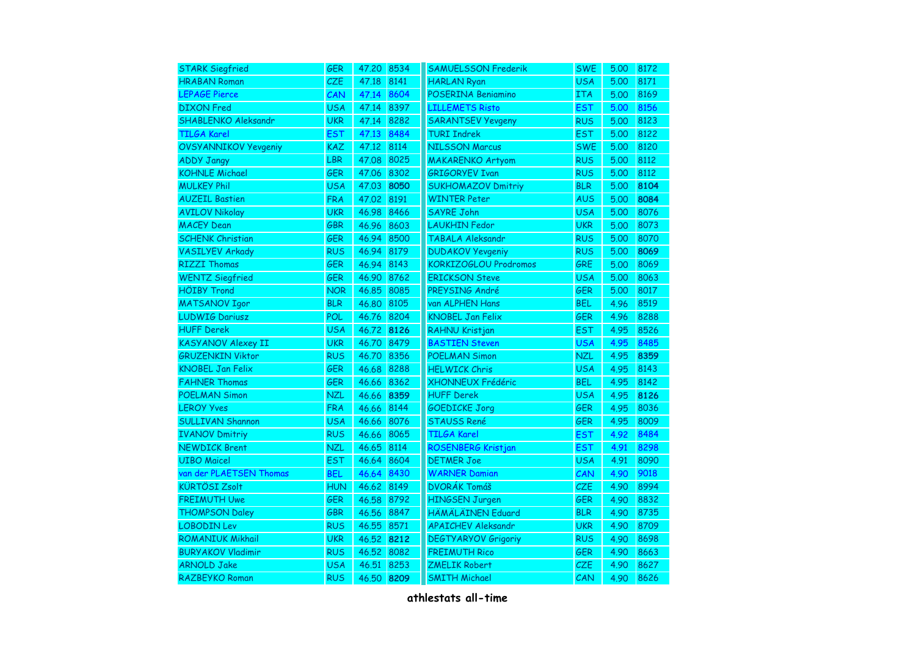| <b>STARK Siegfried</b>      | <b>GER</b> | 47.20 | 8534 | <b>SAMUELSSON Frederik</b> | <b>SWE</b> | 5.00 | 8172 |
|-----------------------------|------------|-------|------|----------------------------|------------|------|------|
| <b>HRABAN Roman</b>         | <b>CZE</b> | 47.18 | 8141 | <b>HARLAN Ryan</b>         | <b>USA</b> | 5.00 | 8171 |
| <b>LEPAGE Pierce</b>        | CAN        | 47.14 | 8604 | POSERINA Beniamino         | <b>ITA</b> | 5.00 | 8169 |
| <b>DIXON</b> Fred           | <b>USA</b> | 47.14 | 8397 | <b>LILLEMETS Risto</b>     | <b>EST</b> | 5.00 | 8156 |
| <b>SHABLENKO Aleksandr</b>  | <b>UKR</b> | 47.14 | 8282 | <b>SARANTSEV Yevgeny</b>   | <b>RUS</b> | 5.00 | 8123 |
| TILGA Karel                 | EST        | 47.13 | 8484 | <b>TURI Indrek</b>         | <b>EST</b> | 5.00 | 8122 |
| <b>OVSYANNIKOV Yevgeniy</b> | <b>KAZ</b> | 47.12 | 8114 | <b>NILSSON Marcus</b>      | <b>SWE</b> | 5.00 | 8120 |
| <b>ADDY Jangy</b>           | <b>LBR</b> | 47.08 | 8025 | <b>MAKARENKO Artyom</b>    | <b>RUS</b> | 5.00 | 8112 |
| <b>KOHNLE Michael</b>       | <b>GER</b> | 47.06 | 8302 | <b>GRIGORYEV Ivan</b>      | <b>RUS</b> | 5.00 | 8112 |
| <b>MULKEY Phil</b>          | <b>USA</b> | 47.03 | 8050 | <b>SUKHOMAZOV Dmitriy</b>  | <b>BLR</b> | 5.00 | 8104 |
| <b>AUZEIL Bastien</b>       | <b>FRA</b> | 47.02 | 8191 | <b>WINTER Peter</b>        | <b>AUS</b> | 5.00 | 8084 |
| <b>AVILOV Nikolay</b>       | <b>UKR</b> | 46.98 | 8466 | <b>SAYRE John</b>          | <b>USA</b> | 5.00 | 8076 |
| <b>MACEY Dean</b>           | GBR        | 46.96 | 8603 | <b>LAUKHIN Fedor</b>       | <b>UKR</b> | 5.00 | 8073 |
| <b>SCHENK Christian</b>     | GER        | 46.94 | 8500 | TABALA Aleksandr           | <b>RUS</b> | 5.00 | 8070 |
| <b>VASILYEV Arkady</b>      | <b>RUS</b> | 46.94 | 8179 | <b>DUDAKOV Yevgeniy</b>    | <b>RUS</b> | 5.00 | 8069 |
| <b>RIZZI Thomas</b>         | <b>GER</b> | 46.94 | 8143 | KORKIZOGLOU Prodromos      | GRE        | 5.00 | 8069 |
| <b>WENTZ Siegfried</b>      | <b>GER</b> | 46.90 | 8762 | <b>ERICKSON Steve</b>      | <b>USA</b> | 5.00 | 8063 |
| <b>HÖIBY Trond</b>          | <b>NOR</b> | 46.85 | 8085 | PREYSING André             | <b>GER</b> | 5.00 | 8017 |
| <b>MATSANOV Igor</b>        | <b>BLR</b> | 46.80 | 8105 | van ALPHEN Hans            | <b>BEL</b> | 4.96 | 8519 |
| <b>LUDWIG Dariusz</b>       | <b>POL</b> | 46.76 | 8204 | <b>KNOBEL Jan Felix</b>    | <b>GER</b> | 4.96 | 8288 |
| <b>HUFF Derek</b>           | <b>USA</b> | 46.72 | 8126 | RAHNU Kristjan             | <b>EST</b> | 4.95 | 8526 |
| <b>KASYANOV Alexey II</b>   | <b>UKR</b> | 46.70 | 8479 | <b>BASTIEN Steven</b>      | <b>USA</b> | 4.95 | 8485 |
| <b>GRUZENKIN Viktor</b>     | <b>RUS</b> | 46.70 | 8356 | <b>POELMAN Simon</b>       | <b>NZL</b> | 4.95 | 8359 |
| <b>KNOBEL Jan Felix</b>     | <b>GER</b> | 46.68 | 8288 | <b>HELWICK Chris</b>       | <b>USA</b> | 4.95 | 8143 |
| <b>FAHNER Thomas</b>        | <b>GER</b> | 46.66 | 8362 | XHONNEUX Frédéric          | <b>BEL</b> | 4.95 | 8142 |
| <b>POELMAN Simon</b>        | <b>NZL</b> | 46.66 | 8359 | <b>HUFF Derek</b>          | <b>USA</b> | 4.95 | 8126 |
| <b>LEROY Yves</b>           | <b>FRA</b> | 46.66 | 8144 | <b>GOEDICKE Jorg</b>       | <b>GER</b> | 4.95 | 8036 |
| <b>SULLIVAN Shannon</b>     | <b>USA</b> | 46.66 | 8076 | <b>STAUSS René</b>         | <b>GER</b> | 4.95 | 8009 |
| <b>IVANOV Dmitriy</b>       | <b>RUS</b> | 46.66 | 8065 | <b>TILGA Karel</b>         | <b>EST</b> | 4.92 | 8484 |
| <b>NEWDICK Brent</b>        | <b>NZL</b> | 46.65 | 8114 | ROSENBERG Kristjan         | <b>EST</b> | 4.91 | 8298 |
| <b>UIBO Maicel</b>          | <b>EST</b> | 46.64 | 8604 | <b>DETMER Joe</b>          | <b>USA</b> | 4.91 | 8090 |
| van der PLAETSEN Thomas     | <b>BEL</b> | 46.64 | 8430 | <b>WARNER Damian</b>       | CAN        | 4.90 | 9018 |
| <b>KÜRTÖSI Zsolt</b>        | <b>HUN</b> | 46.62 | 8149 | <b>DVORÁK Tomáš</b>        | <b>CZE</b> | 4.90 | 8994 |
| <b>FREIMUTH Uwe</b>         | GER        | 46.58 | 8792 | <b>HINGSEN Jurgen</b>      | GER        | 4.90 | 8832 |
| <b>THOMPSON Daley</b>       | GBR        | 46.56 | 8847 | HÄMÄLÄINEN Eduard          | <b>BLR</b> | 4.90 | 8735 |
| <b>LOBODIN Lev</b>          | <b>RUS</b> | 46.55 | 8571 | <b>APAICHEV Aleksandr</b>  | <b>UKR</b> | 4.90 | 8709 |
| <b>ROMANIUK Mikhail</b>     | <b>UKR</b> | 46.52 | 8212 | <b>DEGTYARYOV Grigoriy</b> | <b>RUS</b> | 4.90 | 8698 |
| <b>BURYAKOV Vladimir</b>    | <b>RUS</b> | 46.52 | 8082 | <b>FREIMUTH Rico</b>       | <b>GER</b> | 4.90 | 8663 |
| <b>ARNOLD Jake</b>          | <b>USA</b> | 46.51 | 8253 | <b>ZMELIK Robert</b>       | <b>CZE</b> | 4.90 | 8627 |
| RAZBEYKO Roman              | <b>RUS</b> | 46.50 | 8209 | <b>SMITH Michael</b>       | CAN        | 4.90 | 8626 |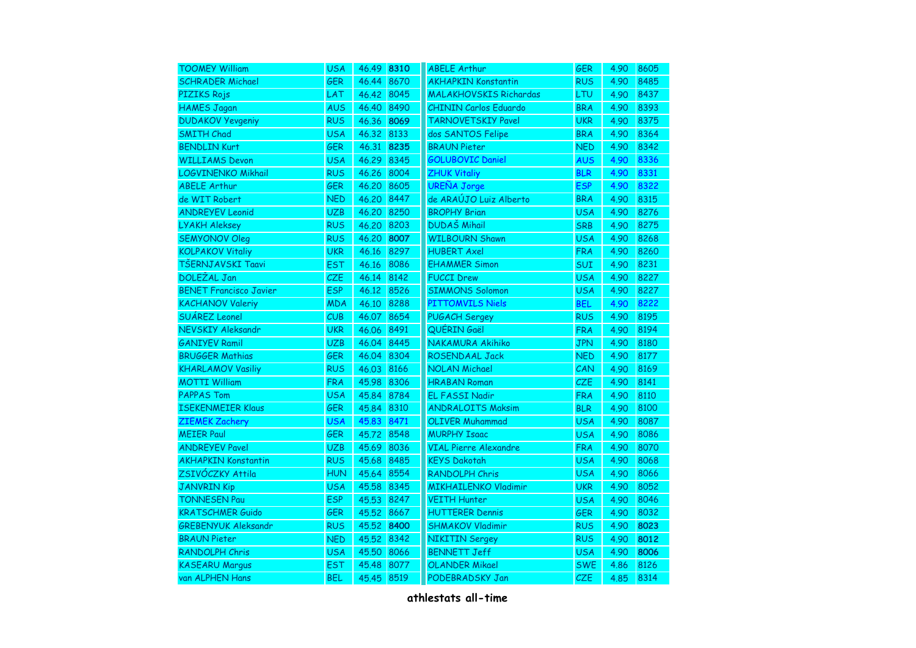| <b>TOOMEY William</b>         | <b>USA</b> | 46.49 8310 |      | <b>ABELE Arthur</b>           | <b>GER</b> | 4.90 | 8605 |
|-------------------------------|------------|------------|------|-------------------------------|------------|------|------|
| <b>SCHRADER Michael</b>       | <b>GER</b> | 46.44      | 8670 | <b>AKHAPKIN Konstantin</b>    | <b>RUS</b> | 4.90 | 8485 |
| PIZIKS Rojs                   | LAT        | 46.42      | 8045 | <b>MALAKHOVSKIS Richardas</b> | <b>LTU</b> | 4.90 | 8437 |
| <b>HAMES Jagan</b>            | <b>AUS</b> | 46.40 8490 |      | <b>CHININ Carlos Eduardo</b>  | <b>BRA</b> | 4.90 | 8393 |
| <b>DUDAKOV Yevgeniy</b>       | <b>RUS</b> | 46.36      | 8069 | <b>TARNOVETSKIY Pavel</b>     | <b>UKR</b> | 4.90 | 8375 |
| <b>SMITH Chad</b>             | <b>USA</b> | 46.32      | 8133 | dos SANTOS Felipe             | <b>BRA</b> | 4.90 | 8364 |
| <b>BENDLIN Kurt</b>           | <b>GER</b> | 46.31      | 8235 | <b>BRAUN Pieter</b>           | <b>NED</b> | 4.90 | 8342 |
| <b>WILLIAMS Devon</b>         | <b>USA</b> | 46.29      | 8345 | <b>GOLUBOVIC Daniel</b>       | <b>AUS</b> | 4.90 | 8336 |
| LOGVINENKO Mikhail            | <b>RUS</b> | 46.26      | 8004 | <b>ZHUK Vitaliy</b>           | <b>BLR</b> | 4.90 | 8331 |
| <b>ABELE Arthur</b>           | GER        | 46.20      | 8605 | <b>UREÑA Jorge</b>            | <b>ESP</b> | 4.90 | 8322 |
| de WIT Robert                 | <b>NED</b> | 46.20      | 8447 | de ARAÚJO Luiz Alberto        | <b>BRA</b> | 4.90 | 8315 |
| <b>ANDREYEV Leonid</b>        | <b>UZB</b> | 46.20 8250 |      | <b>BROPHY Brian</b>           | <b>USA</b> | 4.90 | 8276 |
| <b>LYAKH Aleksey</b>          | <b>RUS</b> | 46.20      | 8203 | <b>DUDAŠ Mihail</b>           | <b>SRB</b> | 4.90 | 8275 |
| <b>SEMYONOV Oleg</b>          | <b>RUS</b> | 46.20      | 8007 | <b>WILBOURN Shawn</b>         | <b>USA</b> | 4.90 | 8268 |
| <b>KOLPAKOV Vitaliy</b>       | <b>UKR</b> | 46.16      | 8297 | <b>HUBERT Axel</b>            | <b>FRA</b> | 4.90 | 8260 |
| TŠERNJAVSKI Taavi             | <b>EST</b> | 46.16      | 8086 | <b>EHAMMER Simon</b>          | <b>SUI</b> | 4.90 | 8231 |
| <b>DOLEŽAL Jan</b>            | CZE        | 46.14      | 8142 | <b>FUCCI Drew</b>             | <b>USA</b> | 4.90 | 8227 |
| <b>BENET Francisco Javier</b> | <b>ESP</b> | 46.12      | 8526 | <b>SIMMONS Solomon</b>        | <b>USA</b> | 4.90 | 8227 |
| <b>KACHANOV Valeriy</b>       | <b>MDA</b> | 46.10      | 8288 | <b>PITTOMVILS Niels</b>       | <b>BEL</b> | 4.90 | 8222 |
| SUÁREZ Leonel                 | CUB        | 46.07      | 8654 | <b>PUGACH Sergey</b>          | <b>RUS</b> | 4.90 | 8195 |
| NEVSKIY Aleksandr             | <b>UKR</b> | 46.06      | 8491 | QUÉRIN Gaël                   | <b>FRA</b> | 4.90 | 8194 |
| <b>GANIYEV Ramil</b>          | <b>UZB</b> | 46.04      | 8445 | NAKAMURA Akihiko              | <b>JPN</b> | 4.90 | 8180 |
| <b>BRUGGER Mathias</b>        | GER        | 46.04      | 8304 | ROSENDAAL Jack                | <b>NED</b> | 4.90 | 8177 |
| <b>KHARLAMOV Vasiliy</b>      | <b>RUS</b> | 46.03      | 8166 | <b>NOLAN Michael</b>          | CAN        | 4.90 | 8169 |
| <b>MOTTI William</b>          | <b>FRA</b> | 45.98      | 8306 | <b>HRABAN Roman</b>           | <b>CZE</b> | 4.90 | 8141 |
| <b>PAPPAS Tom</b>             | <b>USA</b> | 45.84      | 8784 | EL FASSI Nadir                | <b>FRA</b> | 4.90 | 8110 |
| <b>ISEKENMEIER Klaus</b>      | <b>GER</b> | 45.84      | 8310 | <b>ANDRALOITS Maksim</b>      | <b>BLR</b> | 4.90 | 8100 |
| <b>ZIEMEK Zachery</b>         | <b>USA</b> | 45.83      | 8471 | <b>OLIVER Muhammad</b>        | <b>USA</b> | 4.90 | 8087 |
| <b>MEIER Paul</b>             | <b>GER</b> | 45.72      | 8548 | <b>MURPHY Isaac</b>           | <b>USA</b> | 4.90 | 8086 |
| <b>ANDREYEV Pavel</b>         | <b>UZB</b> | 45.69      | 8036 | <b>VIAL Pierre Alexandre</b>  | <b>FRA</b> | 4.90 | 8070 |
| <b>AKHAPKIN Konstantin</b>    | <b>RUS</b> | 45.68      | 8485 | <b>KEYS Dakotah</b>           | <b>USA</b> | 4.90 | 8068 |
| ZSIVÓCZKY Attila              | <b>HUN</b> | 45.64      | 8554 | <b>RANDOLPH Chris</b>         | <b>USA</b> | 4.90 | 8066 |
| <b>JANVRIN Kip</b>            | <b>USA</b> | 45.58      | 8345 | <b>MIKHAILENKO Vladimir</b>   | <b>UKR</b> | 4.90 | 8052 |
| <b>TONNESEN Pau</b>           | <b>ESP</b> | 45.53      | 8247 | <b>VEITH Hunter</b>           | <b>USA</b> | 4.90 | 8046 |
| <b>KRATSCHMER Guido</b>       | GER        | 45.52      | 8667 | <b>HUTTERER Dennis</b>        | <b>GER</b> | 4.90 | 8032 |
| <b>GREBENYUK Aleksandr</b>    | <b>RUS</b> | 45.52      | 8400 | <b>SHMAKOV Vladimir</b>       | <b>RUS</b> | 4.90 | 8023 |
| <b>BRAUN Pieter</b>           | <b>NED</b> | 45.52      | 8342 | <b>NIKITIN Sergey</b>         | <b>RUS</b> | 4.90 | 8012 |
| <b>RANDOLPH Chris</b>         | <b>USA</b> | 45.50      | 8066 | <b>BENNETT Jeff</b>           | <b>USA</b> | 4.90 | 8006 |
| <b>KASEARU Margus</b>         | <b>EST</b> | 45.48      | 8077 | <b>OLANDER Mikael</b>         | <b>SWE</b> | 4.86 | 8126 |
| van ALPHEN Hans               | <b>BEL</b> | 45.45      | 8519 | PODEBRADSKY Jan               | <b>CZE</b> | 4.85 | 8314 |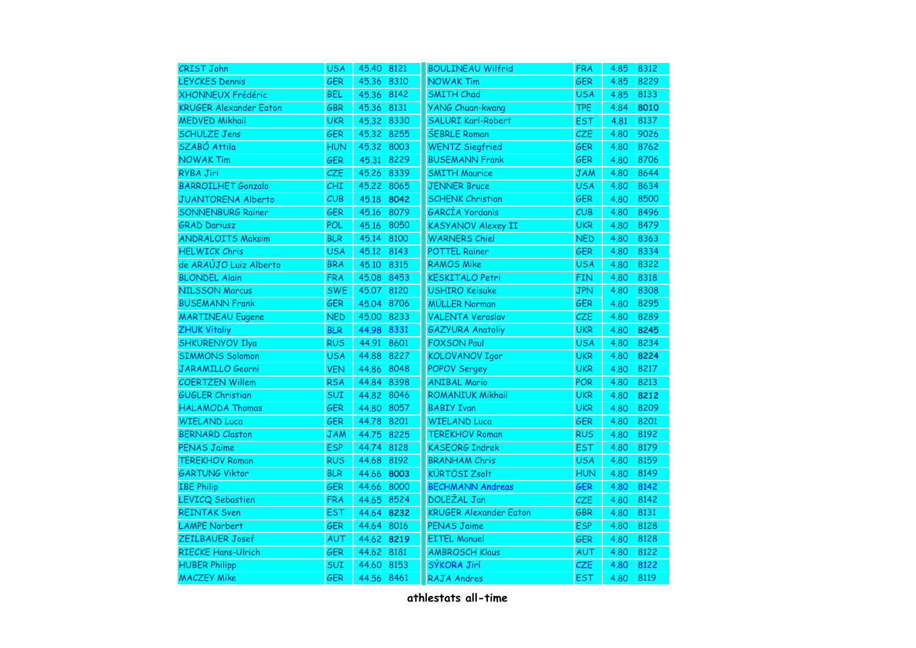| <b>CRIST John</b>             | <b>USA</b> | 45.40 8121 |      | <b>BOULINEAU Wilfrid</b>      | <b>FRA</b> | 4.85 | 8312 |
|-------------------------------|------------|------------|------|-------------------------------|------------|------|------|
| <b>LEYCKES Dennis</b>         | <b>GER</b> | 45.36      | 8310 | <b>NOWAK Tim</b>              | <b>GER</b> | 4.85 | 8229 |
| <b>XHONNEUX Frédéric</b>      | <b>BEL</b> | 45.36      | 8142 | <b>SMITH Chad</b>             | <b>USA</b> | 4.85 | 8133 |
| <b>KRUGER Alexander Eaton</b> | GBR        | 45.36      | 8131 | <b>YANG Chuan-kwang</b>       | <b>TPE</b> | 4.84 | 8010 |
| <b>MEDVED Mikhail</b>         | <b>UKR</b> | 45.32      | 8330 | <b>SALURI Karl-Robert</b>     | <b>EST</b> | 4.81 | 8137 |
| <b>SCHULZE Jens</b>           | GER        | 45.32      | 8255 | <b>ŠEBRLE Roman</b>           | CZE        | 4.80 | 9026 |
| SZABÓ Attila                  | <b>HUN</b> | 45.32      | 8003 | <b>WENTZ Siegfried</b>        | <b>GER</b> | 4.80 | 8762 |
| <b>NOWAK Tim</b>              | <b>GER</b> | 45.31      | 8229 | <b>BUSEMANN Frank</b>         | <b>GER</b> | 4.80 | 8706 |
| RYBA Jiri                     | CZE        | 45.26      | 8339 | <b>SMITH Maurice</b>          | <b>JAM</b> | 4.80 | 8644 |
| <b>BARROILHET Gonzalo</b>     | CHI        | 45.22      | 8065 | <b>JENNER Bruce</b>           | <b>USA</b> | 4.80 | 8634 |
| <b>JUANTORENA Alberto</b>     | CUB        | 45.18      | 8042 | <b>SCHENK Christian</b>       | <b>GER</b> | 4.80 | 8500 |
| <b>SONNENBURG Rainer</b>      | <b>GER</b> | 45.16      | 8079 | GARCÍA Yordanis               | CUB        | 4.80 | 8496 |
| <b>GRAD Dariusz</b>           | <b>POL</b> | 45.16      | 8050 | <b>KASYANOV Alexey II</b>     | <b>UKR</b> | 4.80 | 8479 |
| <b>ANDRALOITS Maksim</b>      | <b>BLR</b> | 45.14      | 8100 | <b>WARNERS Chiel</b>          | <b>NED</b> | 4.80 | 8363 |
| <b>HELWICK Chris</b>          | <b>USA</b> | 45.12      | 8143 | <b>POTTEL Rainer</b>          | <b>GER</b> | 4.80 | 8334 |
| de ARAÚJO Luiz Alberto        | <b>BRA</b> | 45.10      | 8315 | <b>RAMOS Mike</b>             | <b>USA</b> | 4.80 | 8322 |
| <b>BLONDEL Alain</b>          | <b>FRA</b> | 45.08      | 8453 | <b>KESKITALO Petri</b>        | <b>FIN</b> | 4.80 | 8318 |
| <b>NILSSON Marcus</b>         | <b>SWE</b> | 45.07      | 8120 | <b>USHIRO Keisuke</b>         | <b>JPN</b> | 4.80 | 8308 |
| <b>BUSEMANN Frank</b>         | <b>GER</b> | 45.04      | 8706 | <b>MÜLLER Norman</b>          | <b>GER</b> | 4.80 | 8295 |
| <b>MARTINEAU Eugene</b>       | <b>NED</b> | 45.00      | 8233 | <b>VALENTA Veroslav</b>       | CZE        | 4.80 | 8289 |
| <b>ZHUK Vitaliy</b>           | <b>BLR</b> | 44.98      | 8331 | <b>GAZYURA Anatoliy</b>       | <b>UKR</b> | 4.80 | 8245 |
| <b>SHKURENYOV Ilya</b>        | <b>RUS</b> | 44.91      | 8601 | <b>FOXSON Paul</b>            | <b>USA</b> | 4.80 | 8234 |
| <b>SIMMONS Solomon</b>        | <b>USA</b> | 44.88      | 8227 | <b>KOLOVANOV Igor</b>         | <b>UKR</b> | 4.80 | 8224 |
| <b>JARAMILLO Georni</b>       | <b>VEN</b> | 44.86      | 8048 | <b>POPOV Sergey</b>           | <b>UKR</b> | 4.80 | 8217 |
| <b>COERTZEN Willem</b>        | <b>RSA</b> | 44.84      | 8398 | <b>ANIBAL Mario</b>           | <b>POR</b> | 4.80 | 8213 |
| <b>GUGLER Christian</b>       | SUI        | 44.82      | 8046 | <b>ROMANIUK Mikhail</b>       | <b>UKR</b> | 4.80 | 8212 |
| <b>HALAMODA Thomas</b>        | <b>GER</b> | 44.80      | 8057 | <b>BABIY Ivan</b>             | <b>UKR</b> | 4.80 | 8209 |
| <b>WIELAND Luca</b>           | <b>GER</b> | 44.78      | 8201 | <b>WIELAND Luca</b>           | <b>GER</b> | 4.80 | 8201 |
| <b>BERNARD Claston</b>        | JAM        | 44.75      | 8225 | <b>TEREKHOV Roman</b>         | <b>RUS</b> | 4.80 | 8192 |
| <b>PENAS Jaime</b>            | <b>ESP</b> | 44.74      | 8128 | <b>KASEORG Indrek</b>         | <b>EST</b> | 4.80 | 8179 |
| <b>TEREKHOV Roman</b>         | <b>RUS</b> | 44.68      | 8192 | <b>BRANHAM Chris</b>          | <b>USA</b> | 4.80 | 8159 |
| <b>GARTUNG Viktor</b>         | <b>BLR</b> | 44.66      | 8003 | <b>KÜRTÖSI Zsolt</b>          | <b>HUN</b> | 4.80 | 8149 |
| <b>IBE Philip</b>             | <b>GER</b> | 44.66      | 8000 | <b>BECHMANN Andreas</b>       | <b>GER</b> | 4.80 | 8142 |
| <b>LEVICQ Sebastien</b>       | <b>FRA</b> | 44.65      | 8524 | <b>DOLEŽAL Jan</b>            | CZE        | 4.80 | 8142 |
| <b>REINTAK Sven</b>           | <b>EST</b> | 44.64      | 8232 | <b>KRUGER Alexander Eaton</b> | <b>GBR</b> | 4.80 | 8131 |
| <b>LAMPE Norbert</b>          | GER        | 44.64      | 8016 | <b>PENAS Jaime</b>            | <b>ESP</b> | 4.80 | 8128 |
| ZEILBAUER Josef               | AUT        | 44.62      | 8219 | <b>EITEL Manuel</b>           | GER        | 4.80 | 8128 |
| <b>RIECKE Hans-Ulrich</b>     | GER        | 44.62      | 8181 | <b>AMBROSCH Klaus</b>         | AUT        | 4.80 | 8122 |
| <b>HUBER Philipp</b>          | SUI        | 44.60      | 8153 | SÝKORA Jirí                   | <b>CZE</b> | 4.80 | 8122 |
| <b>MACZEY Mike</b>            | <b>GER</b> | 44.56      | 8461 | <b>RAJA Andres</b>            | <b>EST</b> | 4.80 | 8119 |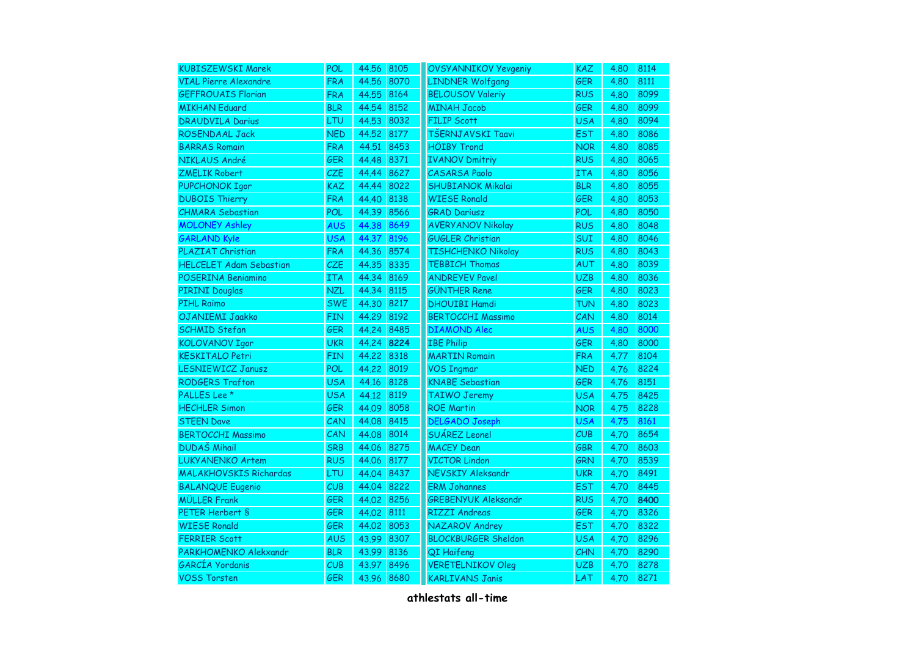| <b>KUBISZEWSKI Marek</b>       | POL        | 44.56 | 8105 | <b>OVSYANNIKOV Yevgeniy</b> | <b>KAZ</b> | 4.80 | 8114 |
|--------------------------------|------------|-------|------|-----------------------------|------------|------|------|
| <b>VIAL Pierre Alexandre</b>   | <b>FRA</b> | 44.56 | 8070 | <b>LINDNER Wolfgang</b>     | <b>GER</b> | 4.80 | 8111 |
| <b>GEFFROUAIS Florian</b>      | <b>FRA</b> | 44.55 | 8164 | <b>BELOUSOV Valeriy</b>     | <b>RUS</b> | 4.80 | 8099 |
| <b>MIKHAN Eduard</b>           | <b>BLR</b> | 44.54 | 8152 | <b>MINAH Jacob</b>          | <b>GER</b> | 4.80 | 8099 |
| <b>DRAUDVILA Darius</b>        | LTU        | 44.53 | 8032 | <b>FILIP Scott</b>          | <b>USA</b> | 4.80 | 8094 |
| <b>ROSENDAAL Jack</b>          | <b>NED</b> | 44.52 | 8177 | TŠERNJAVSKI Taavi           | <b>EST</b> | 4.80 | 8086 |
| <b>BARRAS Romain</b>           | <b>FRA</b> | 44.51 | 8453 | <b>HÖIBY Trond</b>          | <b>NOR</b> | 4.80 | 8085 |
| NIKLAUS André                  | <b>GER</b> | 44.48 | 8371 | <b>IVANOV Dmitriy</b>       | <b>RUS</b> | 4.80 | 8065 |
| <b>ZMELIK Robert</b>           | CZE        | 44.44 | 8627 | <b>CASARSA Paolo</b>        | ITA        | 4.80 | 8056 |
| PUPCHONOK Igor                 | <b>KAZ</b> | 44.44 | 8022 | <b>SHUBIANOK Mikalai</b>    | <b>BLR</b> | 4.80 | 8055 |
| <b>DUBOIS Thierry</b>          | <b>FRA</b> | 44.40 | 8138 | <b>WIESE Ronald</b>         | <b>GER</b> | 4.80 | 8053 |
| <b>CHMARA Sebastian</b>        | <b>POL</b> | 44.39 | 8566 | <b>GRAD Dariusz</b>         | <b>POL</b> | 4.80 | 8050 |
| <b>MOLONEY Ashley</b>          | <b>AUS</b> | 44.38 | 8649 | <b>AVERYANOV Nikolay</b>    | <b>RUS</b> | 4.80 | 8048 |
| <b>GARLAND Kyle</b>            | <b>USA</b> | 44.37 | 8196 | <b>GUGLER Christian</b>     | <b>SUI</b> | 4.80 | 8046 |
| PLAZIAT Christian              | <b>FRA</b> | 44.36 | 8574 | <b>TISHCHENKO Nikolay</b>   | <b>RUS</b> | 4.80 | 8043 |
| <b>HELCELET Adam Sebastian</b> | <b>CZE</b> | 44.35 | 8335 | <b>TEBBICH Thomas</b>       | AUT        | 4.80 | 8039 |
| POSERINA Beniamino             | <b>ITA</b> | 44.34 | 8169 | <b>ANDREYEV Pavel</b>       | <b>UZB</b> | 4.80 | 8036 |
| <b>PIRINI Douglas</b>          | <b>NZL</b> | 44.34 | 8115 | <b>GÜNTHER Rene</b>         | <b>GER</b> | 4.80 | 8023 |
| <b>PIHL Raimo</b>              | <b>SWE</b> | 44.30 | 8217 | <b>DHOUIBI Hamdi</b>        | <b>TUN</b> | 4.80 | 8023 |
| OJANIEMI Jaakko                | <b>FIN</b> | 44.29 | 8192 | <b>BERTOCCHI Massimo</b>    | CAN        | 4.80 | 8014 |
| <b>SCHMID Stefan</b>           | GER        | 44.24 | 8485 | <b>DIAMOND Alec</b>         | <b>AUS</b> | 4.80 | 8000 |
| <b>KOLOVANOV Igor</b>          | <b>UKR</b> | 44.24 | 8224 | <b>IBE Philip</b>           | <b>GER</b> | 4.80 | 8000 |
| <b>KESKITALO Petri</b>         | <b>FIN</b> | 44.22 | 8318 | <b>MARTIN Romain</b>        | <b>FRA</b> | 4.77 | 8104 |
| <b>LESNIEWICZ Janusz</b>       | POL        | 44.22 | 8019 | <b>VOS Ingmar</b>           | <b>NED</b> | 4.76 | 8224 |
| <b>RODGERS Trafton</b>         | <b>USA</b> | 44.16 | 8128 | <b>KNABE Sebastian</b>      | <b>GER</b> | 4.76 | 8151 |
| PALLES Lee *                   | <b>USA</b> | 44.12 | 8119 | <b>TAIWO Jeremy</b>         | <b>USA</b> | 4.75 | 8425 |
| <b>HECHLER Simon</b>           | <b>GER</b> | 44.09 | 8058 | <b>ROE Martin</b>           | <b>NOR</b> | 4.75 | 8228 |
| <b>STEEN Dave</b>              | CAN        | 44.08 | 8415 | <b>DELGADO Joseph</b>       | <b>USA</b> | 4.75 | 8161 |
| <b>BERTOCCHI Massimo</b>       | CAN        | 44.08 | 8014 | SUÁREZ Leonel               | CUB        | 4.70 | 8654 |
| <b>DUDAŠ Mihail</b>            | <b>SRB</b> | 44.06 | 8275 | <b>MACEY Dean</b>           | <b>GBR</b> | 4.70 | 8603 |
| <b>LUKYANENKO Artem</b>        | <b>RUS</b> | 44.06 | 8177 | <b>VICTOR Lindon</b>        | GRN        | 4.70 | 8539 |
| <b>MALAKHOVSKIS Richardas</b>  | LTU        | 44.04 | 8437 | <b>NEVSKIY Aleksandr</b>    | <b>UKR</b> | 4.70 | 8491 |
| <b>BALANQUE Eugenio</b>        | CUB        | 44.04 | 8222 | <b>ERM Johannes</b>         | <b>EST</b> | 4.70 | 8445 |
| <b>MÜLLER Frank</b>            | GER        | 44.02 | 8256 | <b>GREBENYUK Aleksandr</b>  | <b>RUS</b> | 4.70 | 8400 |
| PETER Herbert S                | <b>GER</b> | 44.02 | 8111 | <b>RIZZI Andreas</b>        | <b>GER</b> | 4.70 | 8326 |
| <b>WIESE Ronald</b>            | <b>GER</b> | 44.02 | 8053 | NAZAROV Andrey              | <b>EST</b> | 4.70 | 8322 |
| <b>FERRIER Scott</b>           | AUS        | 43.99 | 8307 | <b>BLOCKBURGER Sheldon</b>  | <b>USA</b> | 4.70 | 8296 |
| PARKHOMENKO Alekxandr          | <b>BLR</b> | 43.99 | 8136 | QI Haifeng                  | CHN        | 4.70 | 8290 |
| GARCÍA Yordanis                | CUB        | 43.97 | 8496 | <b>VERETELNIKOV Oleg</b>    | <b>UZB</b> | 4.70 | 8278 |
| <b>VOSS Torsten</b>            | <b>GER</b> | 43.96 | 8680 | <b>KARLIVANS Janis</b>      | LAT        | 4.70 | 8271 |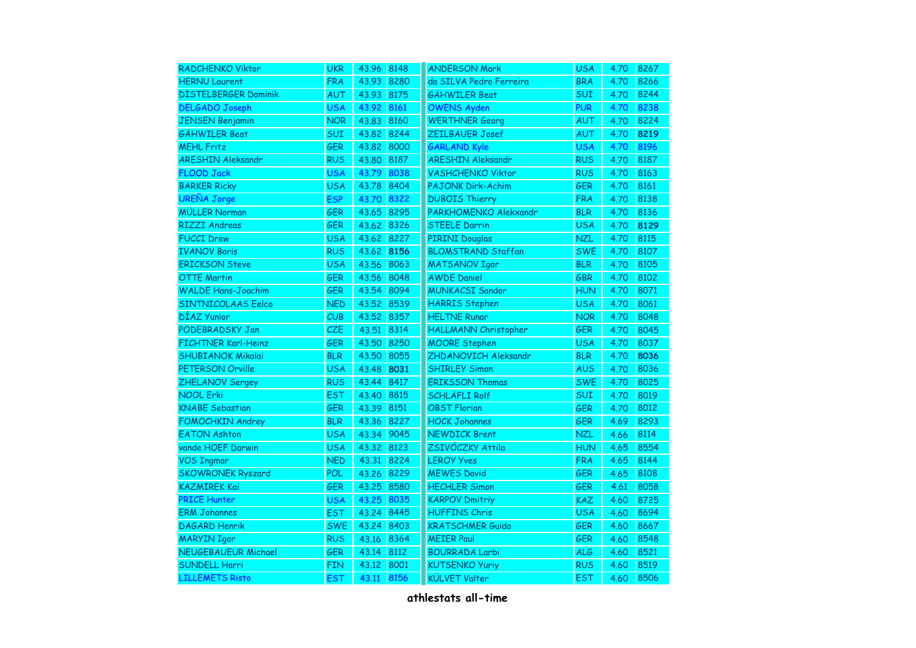| <b>RADCHENKO Viktor</b>     | <b>UKR</b> | 43.96 | 8148 | <b>ANDERSON Mark</b>      | <b>USA</b> | 4.70 | 8267 |
|-----------------------------|------------|-------|------|---------------------------|------------|------|------|
| <b>HERNU Laurent</b>        | <b>FRA</b> | 43.93 | 8280 | da SILVA Pedro Ferreira   | <b>BRA</b> | 4.70 | 8266 |
| <b>DISTELBERGER Dominik</b> | AUT        | 43.93 | 8175 | <b>GÄHWILER Beat</b>      | <b>SUI</b> | 4.70 | 8244 |
| <b>DELGADO Joseph</b>       | <b>USA</b> | 43.92 | 8161 | <b>OWENS Ayden</b>        | <b>PUR</b> | 4.70 | 8238 |
| <b>JENSEN Benjamin</b>      | <b>NOR</b> | 43.83 | 8160 | <b>WERTHNER Georg</b>     | AUT        | 4.70 | 8224 |
| <b>GÄHWILER Beat</b>        | <b>SUI</b> | 43.82 | 8244 | ZEILBAUER Josef           | AUT        | 4.70 | 8219 |
| <b>MEHL Fritz</b>           | <b>GER</b> | 43.82 | 8000 | <b>GARLAND Kyle</b>       | <b>USA</b> | 4.70 | 8196 |
| <b>ARESHIN Aleksandr</b>    | <b>RUS</b> | 43.80 | 8187 | <b>ARESHIN Aleksandr</b>  | <b>RUS</b> | 4.70 | 8187 |
| <b>FLOOD Jack</b>           | <b>USA</b> | 43.79 | 8038 | <b>VASHCHENKO Viktor</b>  | <b>RUS</b> | 4.70 | 8163 |
| <b>BARKER Ricky</b>         | <b>USA</b> | 43.78 | 8404 | <b>PAJONK Dirk-Achim</b>  | <b>GER</b> | 4.70 | 8161 |
| <b>UREÑA Jorge</b>          | <b>ESP</b> | 43.70 | 8322 | <b>DUBOIS Thierry</b>     | <b>FRA</b> | 4.70 | 8138 |
| <b>MÜLLER Norman</b>        | <b>GER</b> | 43.65 | 8295 | PARKHOMENKO Alekxandr     | <b>BLR</b> | 4.70 | 8136 |
| <b>RIZZI Andreas</b>        | <b>GER</b> | 43.62 | 8326 | <b>STEELE Darrin</b>      | <b>USA</b> | 4.70 | 8129 |
| <b>FUCCI Drew</b>           | <b>USA</b> | 43.62 | 8227 | <b>PIRINI Douglas</b>     | <b>NZL</b> | 4.70 | 8115 |
| <b>IVANOV Boris</b>         | <b>RUS</b> | 43.62 | 8156 | <b>BLOMSTRAND Staffan</b> | <b>SWE</b> | 4.70 | 8107 |
| <b>ERICKSON Steve</b>       | <b>USA</b> | 43.56 | 8063 | <b>MATSANOV Igor</b>      | <b>BLR</b> | 4.70 | 8105 |
| <b>OTTE Martin</b>          | <b>GER</b> | 43.56 | 8048 | <b>AWDE Daniel</b>        | <b>GBR</b> | 4.70 | 8102 |
| <b>WALDE Hans-Joachim</b>   | <b>GER</b> | 43.54 | 8094 | <b>MUNKACSI Sandor</b>    | <b>HUN</b> | 4.70 | 8071 |
| SINTNICOLAAS Eelco          | <b>NED</b> | 43.52 | 8539 | <b>HARRIS Stephen</b>     | <b>USA</b> | 4.70 | 8061 |
| DÍAZ Yunior                 | CUB        | 43.52 | 8357 | <b>HELTNE Runar</b>       | <b>NOR</b> | 4.70 | 8048 |
| PODEBRADSKY Jan             | CZE        | 43.51 | 8314 | HALLMANN Christopher      | <b>GER</b> | 4.70 | 8045 |
| <b>FICHTNER Karl-Heinz</b>  | <b>GER</b> | 43.50 | 8250 | <b>MOORE Stephen</b>      | <b>USA</b> | 4.70 | 8037 |
| <b>SHUBIANOK Mikalai</b>    | <b>BLR</b> | 43.50 | 8055 | ZHDANOVICH Aleksandr      | <b>BLR</b> | 4.70 | 8036 |
| PETERSON Orville            | <b>USA</b> | 43.48 | 8031 | <b>SHIRLEY Simon</b>      | <b>AUS</b> | 4.70 | 8036 |
| <b>ZHELANOV Sergey</b>      | <b>RUS</b> | 43.44 | 8417 | <b>ERIKSSON Thomas</b>    | <b>SWE</b> | 4.70 | 8025 |
| <b>NOOL Erki</b>            | <b>EST</b> | 43.40 | 8815 | <b>SCHLÄFLI Rolf</b>      | <b>SUI</b> | 4.70 | 8019 |
| <b>KNABE Sebastian</b>      | <b>GER</b> | 43.39 | 8151 | <b>OBST Florian</b>       | <b>GER</b> | 4.70 | 8012 |
| <b>FOMOCHKIN Andrey</b>     | <b>BLR</b> | 43.36 | 8227 | <b>HOCK Johannes</b>      | <b>GER</b> | 4.69 | 8293 |
| <b>EATON Ashton</b>         | <b>USA</b> | 43.34 | 9045 | <b>NEWDICK Brent</b>      | <b>NZL</b> | 4.66 | 8114 |
| vande HOEF Darwin           | <b>USA</b> | 43.32 | 8123 | ZSIVÓCZKY Attila          | <b>HUN</b> | 4.65 | 8554 |
| <b>VOS Ingmar</b>           | <b>NED</b> | 43.31 | 8224 | <b>LEROY Yves</b>         | <b>FRA</b> | 4.65 | 8144 |
| <b>SKOWRONEK Ryszard</b>    | <b>POL</b> | 43.26 | 8229 | <b>MEWES David</b>        | <b>GER</b> | 4.65 | 8108 |
| <b>KAZMIREK Kai</b>         | GER        | 43.25 | 8580 | <b>HECHLER Simon</b>      | <b>GER</b> | 4.61 | 8058 |
| <b>PRICE Hunter</b>         | <b>USA</b> | 43.25 | 8035 | <b>KARPOV Dmitriy</b>     | <b>KAZ</b> | 4.60 | 8725 |
| <b>ERM Johannes</b>         | <b>EST</b> | 43.24 | 8445 | <b>HUFFINS Chris</b>      | <b>USA</b> | 4.60 | 8694 |
| <b>DAGARD Henrik</b>        | <b>SWE</b> | 43.24 | 8403 | <b>KRATSCHMER Guido</b>   | GER        | 4.60 | 8667 |
| <b>MARYIN Igor</b>          | <b>RUS</b> | 43.16 | 8364 | <b>MEIER Paul</b>         | <b>GER</b> | 4.60 | 8548 |
| <b>NEUGEBAUEUR Michael</b>  | <b>GER</b> | 43.14 | 8112 | <b>BOURRADA Larbi</b>     | <b>ALG</b> | 4.60 | 8521 |
| <b>SUNDELL Harri</b>        | <b>FIN</b> | 43.12 | 8001 | <b>KUTSENKO Yuriy</b>     | <b>RUS</b> | 4.60 | 8519 |
| <b>LILLEMETS Risto</b>      | <b>EST</b> | 43.11 | 8156 | <b>KÜLVET Valter</b>      | <b>EST</b> | 4.60 | 8506 |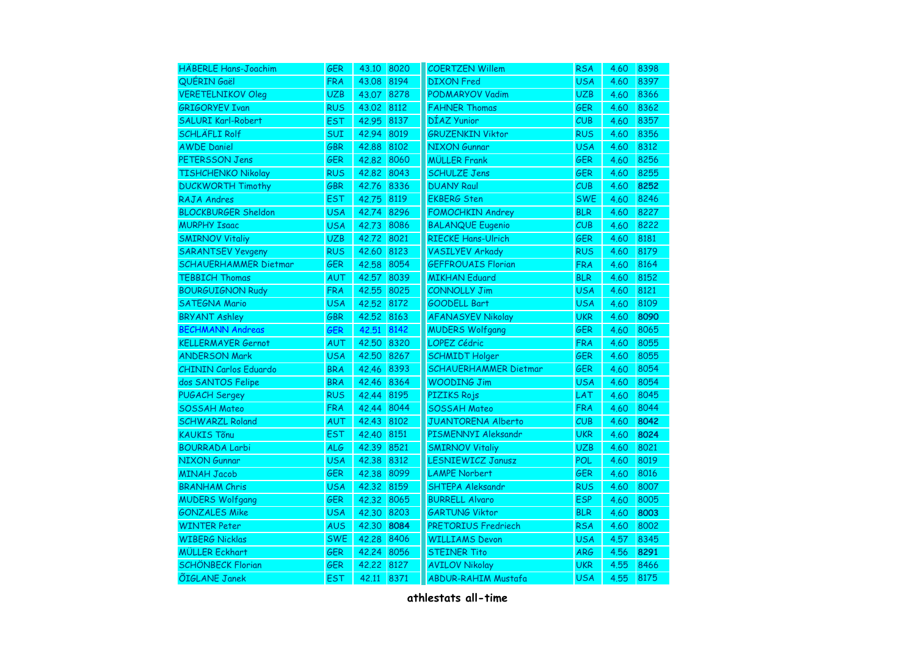| <b>HÄBERLE Hans-Joachim</b>  | <b>GER</b> | 43.10 | 8020 | <b>COERTZEN Willem</b>       | <b>RSA</b> | 4.60 | 8398 |
|------------------------------|------------|-------|------|------------------------------|------------|------|------|
| QUÉRIN Gaël                  | <b>FRA</b> | 43.08 | 8194 | <b>DIXON</b> Fred            | <b>USA</b> | 4.60 | 8397 |
| <b>VERETELNIKOV Oleg</b>     | <b>UZB</b> | 43.07 | 8278 | <b>PODMARYOV Vadim</b>       | <b>UZB</b> | 4.60 | 8366 |
| <b>GRIGORYEV Ivan</b>        | <b>RUS</b> | 43,02 | 8112 | <b>FAHNER Thomas</b>         | <b>GER</b> | 4.60 | 8362 |
| <b>SALURI Karl-Robert</b>    | <b>EST</b> | 42.95 | 8137 | DÍAZ Yunior                  | CUB        | 4.60 | 8357 |
| <b>SCHLÄFLI Rolf</b>         | SUI        | 42.94 | 8019 | <b>GRUZENKIN Viktor</b>      | <b>RUS</b> | 4.60 | 8356 |
| <b>AWDE Daniel</b>           | GBR        | 42.88 | 8102 | <b>NIXON Gunnar</b>          | <b>USA</b> | 4.60 | 8312 |
| <b>PETERSSON Jens</b>        | <b>GER</b> | 42.82 | 8060 | <b>MÜLLER Frank</b>          | <b>GER</b> | 4.60 | 8256 |
| <b>TISHCHENKO Nikolay</b>    | <b>RUS</b> | 42.82 | 8043 | <b>SCHULZE Jens</b>          | <b>GER</b> | 4.60 | 8255 |
| <b>DUCKWORTH Timothy</b>     | <b>GBR</b> | 42.76 | 8336 | <b>DUANY Raul</b>            | CUB        | 4.60 | 8252 |
| <b>RAJA Andres</b>           | <b>EST</b> | 42.75 | 8119 | <b>EKBERG Sten</b>           | <b>SWE</b> | 4.60 | 8246 |
| <b>BLOCKBURGER Sheldon</b>   | <b>USA</b> | 42.74 | 8296 | <b>FOMOCHKIN Andrey</b>      | <b>BLR</b> | 4.60 | 8227 |
| <b>MURPHY Isaac</b>          | <b>USA</b> | 42.73 | 8086 | <b>BALANQUE Eugenio</b>      | CUB        | 4.60 | 8222 |
| <b>SMIRNOV Vitaliy</b>       | <b>UZB</b> | 42.72 | 8021 | <b>RIECKE Hans-Ulrich</b>    | <b>GER</b> | 4.60 | 8181 |
| <b>SARANTSEV Yevgeny</b>     | <b>RUS</b> | 42.60 | 8123 | <b>VASILYEV Arkady</b>       | <b>RUS</b> | 4.60 | 8179 |
| <b>SCHAUERHAMMER Dietmar</b> | <b>GER</b> | 42.58 | 8054 | <b>GEFFROUAIS Florian</b>    | <b>FRA</b> | 4.60 | 8164 |
| <b>TEBBICH Thomas</b>        | AUT        | 42.57 | 8039 | <b>MIKHAN Eduard</b>         | <b>BLR</b> | 4.60 | 8152 |
| <b>BOURGUIGNON Rudy</b>      | <b>FRA</b> | 42.55 | 8025 | <b>CONNOLLY Jim</b>          | <b>USA</b> | 4.60 | 8121 |
| <b>SATEGNA Mario</b>         | <b>USA</b> | 42.52 | 8172 | GOODELL Bart                 | <b>USA</b> | 4.60 | 8109 |
| <b>BRYANT Ashley</b>         | GBR        | 42.52 | 8163 | <b>AFANASYEV Nikolay</b>     | <b>UKR</b> | 4.60 | 8090 |
| <b>BECHMANN Andreas</b>      | <b>GER</b> | 42.51 | 8142 | <b>MUDERS Wolfgang</b>       | <b>GER</b> | 4.60 | 8065 |
| <b>KELLERMAYER Gernot</b>    | AUT        | 42.50 | 8320 | <b>LOPEZ Cédric</b>          | <b>FRA</b> | 4.60 | 8055 |
| <b>ANDERSON Mark</b>         | <b>USA</b> | 42.50 | 8267 | <b>SCHMIDT Holger</b>        | <b>GER</b> | 4.60 | 8055 |
| <b>CHININ Carlos Eduardo</b> | <b>BRA</b> | 42.46 | 8393 | <b>SCHAUERHAMMER Dietmar</b> | <b>GER</b> | 4.60 | 8054 |
| dos SANTOS Felipe            | <b>BRA</b> | 42.46 | 8364 | <b>WOODING Jim</b>           | <b>USA</b> | 4.60 | 8054 |
| <b>PUGACH Sergey</b>         | <b>RUS</b> | 42.44 | 8195 | PIZIKS Rojs                  | LAT        | 4.60 | 8045 |
| <b>SOSSAH Mateo</b>          | <b>FRA</b> | 42.44 | 8044 | <b>SOSSAH Mateo</b>          | <b>FRA</b> | 4.60 | 8044 |
| <b>SCHWARZL Roland</b>       | AUT        | 42.43 | 8102 | <b>JUANTORENA Alberto</b>    | CUB        | 4.60 | 8042 |
| <b>KAUKIS Tõnu</b>           | <b>EST</b> | 42.40 | 8151 | PISMENNYI Aleksandr          | <b>UKR</b> | 4.60 | 8024 |
| <b>BOURRADA Larbi</b>        | <b>ALG</b> | 42.39 | 8521 | <b>SMIRNOV Vitaliy</b>       | <b>UZB</b> | 4.60 | 8021 |
| <b>NIXON Gunnar</b>          | <b>USA</b> | 42.38 | 8312 | LESNIEWICZ Janusz            | <b>POL</b> | 4.60 | 8019 |
| <b>MINAH Jacob</b>           | GER        | 42.38 | 8099 | <b>LAMPE Norbert</b>         | <b>GER</b> | 4.60 | 8016 |
| <b>BRANHAM Chris</b>         | <b>USA</b> | 42.32 | 8159 | SHTEPA Aleksandr             | <b>RUS</b> | 4.60 | 8007 |
| <b>MUDERS Wolfgang</b>       | GER        | 42.32 | 8065 | <b>BURRELL Alvaro</b>        | <b>ESP</b> | 4.60 | 8005 |
| <b>GONZALES Mike</b>         | <b>USA</b> | 42.30 | 8203 | <b>GARTUNG Viktor</b>        | <b>BLR</b> | 4.60 | 8003 |
| <b>WINTER Peter</b>          | <b>AUS</b> | 42.30 | 8084 | PRETORIUS Fredriech          | <b>RSA</b> | 4.60 | 8002 |
| <b>WIBERG Nicklas</b>        | <b>SWE</b> | 42.28 | 8406 | <b>WILLIAMS Devon</b>        | <b>USA</b> | 4.57 | 8345 |
| <b>MÜLLER Eckhart</b>        | <b>GER</b> | 42.24 | 8056 | <b>STEINER Tito</b>          | <b>ARG</b> | 4.56 | 8291 |
| <b>SCHÖNBECK Florian</b>     | <b>GER</b> | 42.22 | 8127 | <b>AVILOV Nikolay</b>        | <b>UKR</b> | 4.55 | 8466 |
| ÕIGLANE Janek                | <b>EST</b> | 42.11 | 8371 | <b>ABDUR-RAHIM Mustafa</b>   | <b>USA</b> | 4.55 | 8175 |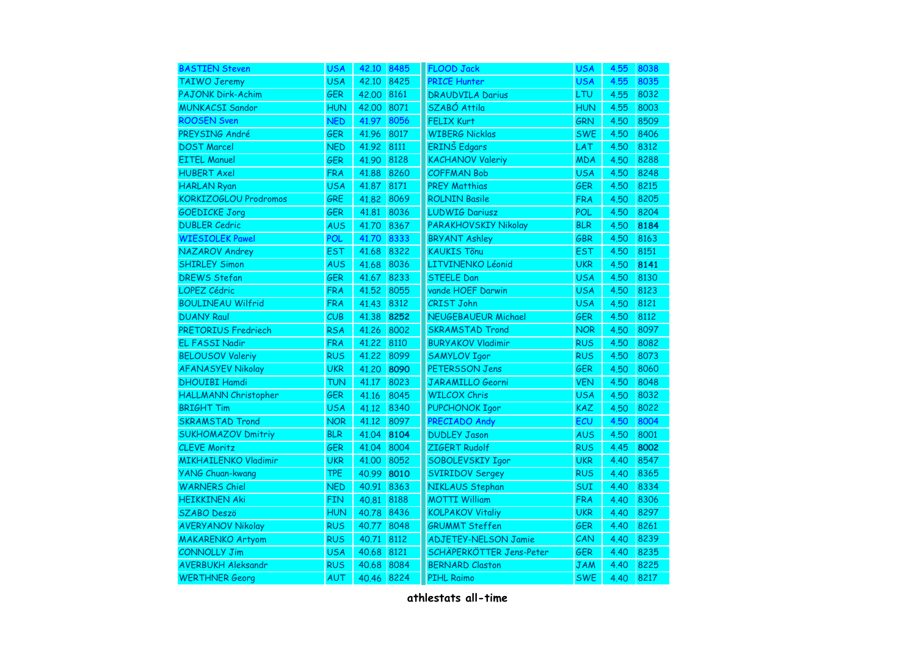| <b>BASTIEN Steven</b>        | <b>USA</b> | 42.10      | 8485 | <b>FLOOD Jack</b>           | <b>USA</b> | 4.55 | 8038 |
|------------------------------|------------|------------|------|-----------------------------|------------|------|------|
| <b>TAIWO Jeremy</b>          | <b>USA</b> | 42.10      | 8425 | <b>PRICE Hunter</b>         | <b>USA</b> | 4.55 | 8035 |
| <b>PAJONK Dirk-Achim</b>     | <b>GER</b> | 42.00      | 8161 | <b>DRAUDVILA Darius</b>     | <b>LTU</b> | 4.55 | 8032 |
| <b>MUNKACSI Sandor</b>       | <b>HUN</b> | 42,00 8071 |      | SZABÓ Attila                | <b>HUN</b> | 4.55 | 8003 |
| <b>ROOSEN Sven</b>           | <b>NED</b> | 41.97      | 8056 | <b>FELIX Kurt</b>           | <b>GRN</b> | 4.50 | 8509 |
| PREYSING André               | GER        | 41.96      | 8017 | <b>WIBERG Nicklas</b>       | <b>SWE</b> | 4.50 | 8406 |
| <b>DOST Marcel</b>           | <b>NED</b> | 41.92      | 8111 | ERINŠ Edgars                | LAT        | 4.50 | 8312 |
| <b>EITEL Manuel</b>          | <b>GER</b> | 41.90      | 8128 | <b>KACHANOV Valeriy</b>     | <b>MDA</b> | 4.50 | 8288 |
| <b>HUBERT Axel</b>           | <b>FRA</b> | 41.88      | 8260 | <b>COFFMAN Bob</b>          | <b>USA</b> | 4.50 | 8248 |
| <b>HARLAN Ryan</b>           | <b>USA</b> | 41.87      | 8171 | <b>PREY Matthias</b>        | <b>GER</b> | 4.50 | 8215 |
| <b>KORKIZOGLOU Prodromos</b> | <b>GRE</b> | 41.82      | 8069 | <b>ROLNIN Basile</b>        | <b>FRA</b> | 4.50 | 8205 |
| <b>GOEDICKE Jorg</b>         | <b>GER</b> | 41.81      | 8036 | <b>LUDWIG Dariusz</b>       | <b>POL</b> | 4.50 | 8204 |
| <b>DUBLER Cedric</b>         | <b>AUS</b> | 41.70      | 8367 | PARAKHOVSKIY Nikolay        | <b>BLR</b> | 4.50 | 8184 |
| <b>WIESIOLEK Pawel</b>       | <b>POL</b> | 41.70      | 8333 | <b>BRYANT Ashley</b>        | <b>GBR</b> | 4.50 | 8163 |
| NAZAROV Andrey               | <b>EST</b> | 41.68      | 8322 | <b>KAUKIS Tõnu</b>          | <b>EST</b> | 4.50 | 8151 |
| <b>SHIRLEY Simon</b>         | <b>AUS</b> | 41.68      | 8036 | LITVINENKO Léonid           | <b>UKR</b> | 4.50 | 8141 |
| <b>DREWS Stefan</b>          | <b>GER</b> | 41.67      | 8233 | <b>STEELE Dan</b>           | <b>USA</b> | 4.50 | 8130 |
| <b>LOPEZ Cédric</b>          | <b>FRA</b> | 41.52      | 8055 | vande HOEF Darwin           | <b>USA</b> | 4.50 | 8123 |
| <b>BOULINEAU Wilfrid</b>     | <b>FRA</b> | 41.43      | 8312 | <b>CRIST John</b>           | <b>USA</b> | 4.50 | 8121 |
| <b>DUANY Raul</b>            | CUB        | 41.38      | 8252 | <b>NEUGEBAUEUR Michael</b>  | <b>GER</b> | 4.50 | 8112 |
| <b>PRETORIUS Fredriech</b>   | <b>RSA</b> | 41.26      | 8002 | <b>SKRAMSTAD Trond</b>      | <b>NOR</b> | 4.50 | 8097 |
| EL FASSI Nadir               | <b>FRA</b> | 41,22      | 8110 | <b>BURYAKOV Vladimir</b>    | <b>RUS</b> | 4.50 | 8082 |
| <b>BELOUSOV Valeriy</b>      | <b>RUS</b> | 41.22      | 8099 | <b>SAMYLOV Igor</b>         | <b>RUS</b> | 4.50 | 8073 |
| <b>AFANASYEV Nikolay</b>     | <b>UKR</b> | 41.20      | 8090 | PETERSSON Jens              | <b>GER</b> | 4.50 | 8060 |
| <b>DHOUIBI Hamdi</b>         | <b>TUN</b> | 41.17      | 8023 | JARAMILLO Georni            | <b>VEN</b> | 4.50 | 8048 |
| HALLMANN Christopher         | <b>GER</b> | 41.16      | 8045 | <b>WILCOX Chris</b>         | <b>USA</b> | 4.50 | 8032 |
| <b>BRIGHT Tim</b>            | <b>USA</b> | 41.12      | 8340 | PUPCHONOK Igor              | <b>KAZ</b> | 4.50 | 8022 |
| <b>SKRAMSTAD Trond</b>       | <b>NOR</b> | 41.12      | 8097 | PRECIADO Andy               | ECU        | 4.50 | 8004 |
| <b>SUKHOMAZOV Dmitriy</b>    | <b>BLR</b> | 41.04      | 8104 | <b>DUDLEY Jason</b>         | <b>AUS</b> | 4.50 | 8001 |
| <b>CLEVE Moritz</b>          | <b>GER</b> | 41.04      | 8004 | ZIGERT Rudolf               | <b>RUS</b> | 4.45 | 8002 |
| <b>MIKHAILENKO Vladimir</b>  | <b>UKR</b> | 41.00      | 8052 | SOBOLEVSKIY Igor            | <b>UKR</b> | 4.40 | 8547 |
| <b>YANG Chuan-kwang</b>      | <b>TPE</b> | 40.99      | 8010 | <b>SVIRIDOV Sergey</b>      | <b>RUS</b> | 4.40 | 8365 |
| <b>WARNERS Chiel</b>         | <b>NED</b> | 40.91      | 8363 | NIKLAUS Stephan             | <b>SUI</b> | 4.40 | 8334 |
| <b>HEIKKINEN Aki</b>         | <b>FIN</b> | 40.81      | 8188 | <b>MOTTI William</b>        | <b>FRA</b> | 4.40 | 8306 |
| <b>SZABO Deszö</b>           | <b>HUN</b> | 40.78      | 8436 | <b>KOLPAKOV Vitaliy</b>     | <b>UKR</b> | 4.40 | 8297 |
| <b>AVERYANOV Nikolay</b>     | <b>RUS</b> | 40.77      | 8048 | <b>GRUMMT Steffen</b>       | GER        | 4.40 | 8261 |
| <b>MAKARENKO Artyom</b>      | <b>RUS</b> | 40.71      | 8112 | <b>ADJETEY-NELSON Jamie</b> | CAN        | 4.40 | 8239 |
| <b>CONNOLLY Jim</b>          | <b>USA</b> | 40.68      | 8121 | SCHÄPERKÖTTER Jens-Peter    | <b>GER</b> | 4.40 | 8235 |
| <b>AVERBUKH Aleksandr</b>    | <b>RUS</b> | 40.68      | 8084 | <b>BERNARD Claston</b>      | <b>JAM</b> | 4.40 | 8225 |
| <b>WERTHNER Georg</b>        | AUT        | 40.46      | 8224 | <b>PIHL Raimo</b>           | <b>SWE</b> | 4.40 | 8217 |